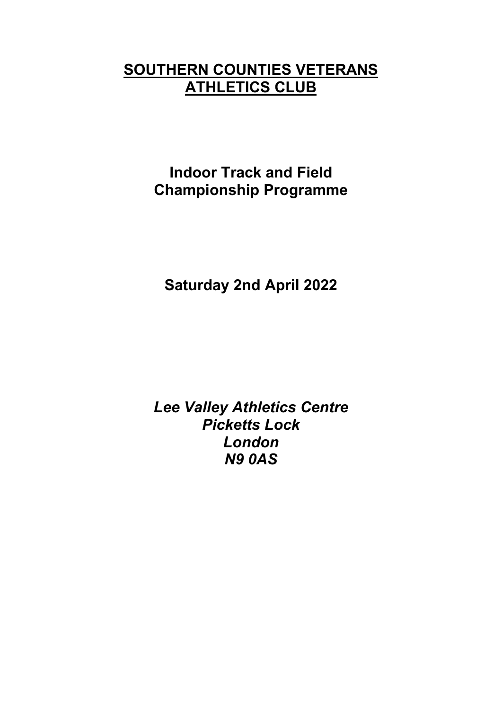# **SOUTHERN COUNTIES VETERANS ATHLETICS CLUB**

**Indoor Track and Field Championship Programme**

**Saturday 2nd April 2022** 

*Lee Valley Athletics Centre Picketts Lock London N9 0AS*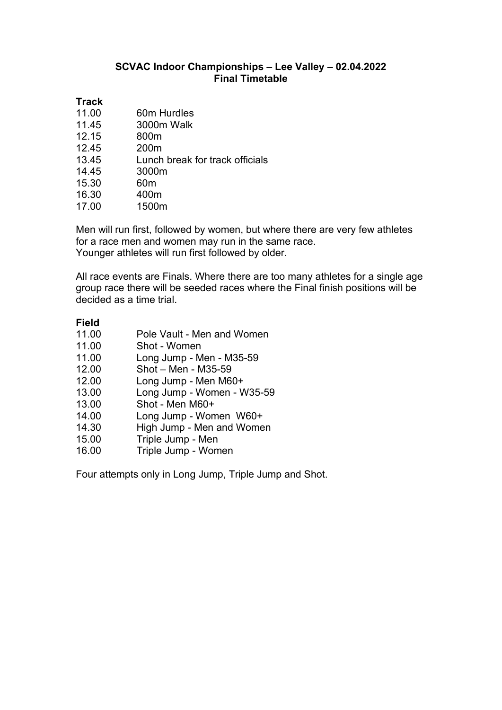## **SCVAC Indoor Championships – Lee Valley – 02.04.2022 Final Timetable**

# **Track**

| 11.00 | 60m Hurdles                     |
|-------|---------------------------------|
| 11.45 | 3000m Walk                      |
| 12.15 | 800m                            |
| 12.45 | 200 <sub>m</sub>                |
| 13.45 | Lunch break for track officials |
| 14.45 | 3000m                           |
| 15.30 | 60 <sub>m</sub>                 |
| 16.30 | 400m                            |
| 17.00 | 1500m                           |

Men will run first, followed by women, but where there are very few athletes for a race men and women may run in the same race. Younger athletes will run first followed by older.

All race events are Finals. Where there are too many athletes for a single age group race there will be seeded races where the Final finish positions will be decided as a time trial.

### **Field**

|  | 11.00 |  |  |  |  | Pole Vault - Men and Women |
|--|-------|--|--|--|--|----------------------------|
|--|-------|--|--|--|--|----------------------------|

- 11.00 Shot Women
- 11.00 Long Jump Men M35-59
- 12.00 Shot Men M35-59
- 12.00 Long Jump Men M60+
- 13.00 Long Jump Women W35-59<br>13.00 Shot Men M60+
- Shot Men M60+
- 14.00 Long Jump Women W60+
- 14.30 High Jump Men and Women<br>15.00 Triple Jump Men
- Triple Jump Men
- 16.00 Triple Jump Women

Four attempts only in Long Jump, Triple Jump and Shot.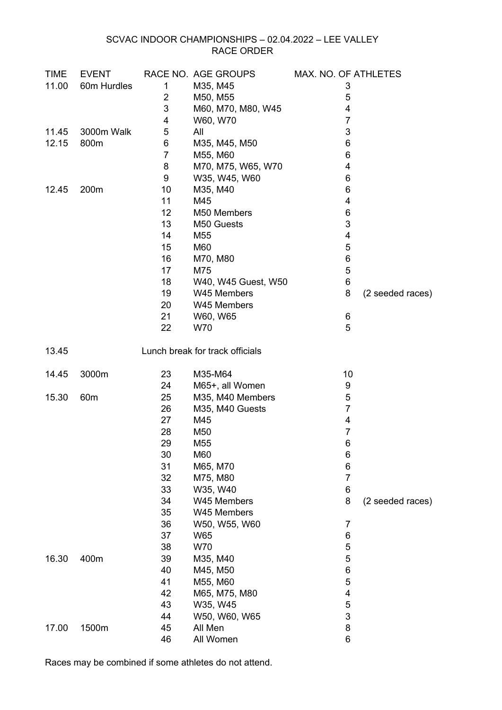### SCVAC INDOOR CHAMPIONSHIPS – 02.04.2022 – LEE VALLEY RACE ORDER

| <b>TIME</b> | <b>EVENT</b>    |                | RACE NO. AGE GROUPS             | MAX. NO. OF ATHLETES    |                  |
|-------------|-----------------|----------------|---------------------------------|-------------------------|------------------|
| 11.00       | 60m Hurdles     | 1              | M35, M45                        | 3                       |                  |
|             |                 | $\overline{2}$ | M50, M55                        | 5                       |                  |
|             |                 | 3              | M60, M70, M80, W45              | 4                       |                  |
|             |                 | 4              | W60, W70                        | $\overline{7}$          |                  |
| 11.45       | 3000m Walk      | 5              | All                             | 3                       |                  |
| 12.15       | 800m            | 6              | M35, M45, M50                   | 6                       |                  |
|             |                 | $\overline{7}$ | M55, M60                        | 6                       |                  |
|             |                 | 8              | M70, M75, W65, W70              | 4                       |                  |
|             |                 | 9              | W35, W45, W60                   | 6                       |                  |
| 12.45       | 200m            | 10             | M35, M40                        | 6                       |                  |
|             |                 | 11             | M45                             | $\overline{\mathbf{4}}$ |                  |
|             |                 | 12             | M50 Members                     | 6                       |                  |
|             |                 | 13             | M50 Guests                      | 3                       |                  |
|             |                 | 14             | M55                             | 4                       |                  |
|             |                 | 15             | M60                             | 5                       |                  |
|             |                 | 16             | M70, M80                        | 6                       |                  |
|             |                 | 17             | M75                             | $\overline{5}$          |                  |
|             |                 | 18             | W40, W45 Guest, W50             | $\,6$                   |                  |
|             |                 | 19             | W45 Members                     | 8                       | (2 seeded races) |
|             |                 | 20             | W45 Members                     |                         |                  |
|             |                 | 21             | W60, W65                        | 6                       |                  |
|             |                 | 22             | W70                             | 5                       |                  |
| 13.45       |                 |                | Lunch break for track officials |                         |                  |
| 14.45       | 3000m           | 23             | M35-M64                         | 10                      |                  |
|             |                 | 24             | M65+, all Women                 | 9                       |                  |
| 15.30       | 60 <sub>m</sub> | 25             | M35, M40 Members                | 5                       |                  |
|             |                 | 26             | M35, M40 Guests                 | $\overline{7}$          |                  |
|             |                 | 27             | M45                             | $\overline{\mathbf{4}}$ |                  |
|             |                 | 28             | M50                             | $\overline{7}$          |                  |
|             |                 | 29             | M <sub>55</sub>                 | 6                       |                  |
|             |                 | 30             | M60                             | 6                       |                  |
|             |                 | 31             | M65, M70                        | 6                       |                  |
|             |                 | 32             | M75, M80                        | $\overline{7}$          |                  |
|             |                 | 33             | W35, W40                        | 6                       |                  |
|             |                 | 34             | W45 Members                     | 8                       | (2 seeded races) |
|             |                 | 35             | W45 Members                     |                         |                  |
|             |                 | 36             | W50, W55, W60                   | $\overline{7}$          |                  |
|             |                 | 37             | W65                             | 6                       |                  |
|             |                 | 38             | W70                             | 5                       |                  |
| 16.30       | 400m            | 39             | M35, M40                        | 5                       |                  |
|             |                 | 40             | M45, M50                        | 6                       |                  |
|             |                 | 41             | M55, M60                        | 5                       |                  |
|             |                 | 42             | M65, M75, M80                   | 4                       |                  |
|             |                 | 43             | W35, W45                        | 5                       |                  |
|             |                 | 44             | W50, W60, W65                   | $\sqrt{3}$              |                  |
| 17.00       | 1500m           | 45             | All Men                         | 8                       |                  |
|             |                 | 46             | All Women                       | 6                       |                  |

Races may be combined if some athletes do not attend.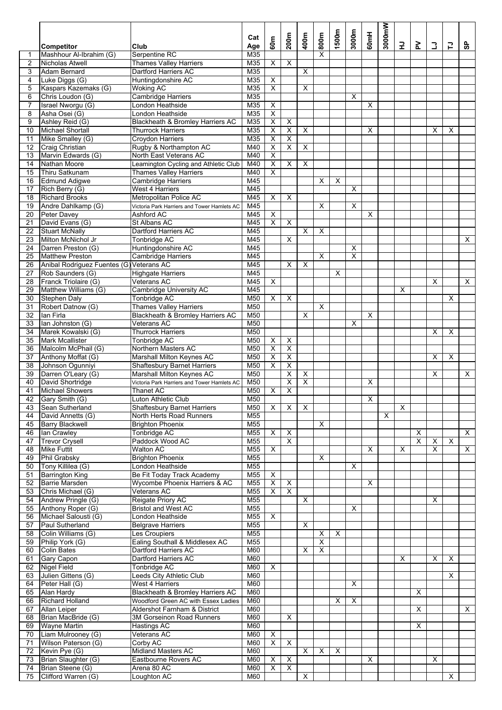|                 | <b>Competitor</b>                            | Club                                                            | Cat<br>Age      | 60m                                                | 200m                                               | 400m                    | 800m                    | 1500m                     | 3000m                   | 60mH | 3000mW | 군                       | ≿                       | 3                       | 급                         | င္တ |
|-----------------|----------------------------------------------|-----------------------------------------------------------------|-----------------|----------------------------------------------------|----------------------------------------------------|-------------------------|-------------------------|---------------------------|-------------------------|------|--------|-------------------------|-------------------------|-------------------------|---------------------------|-----|
| 1               | Mashhour Al-Ibrahim (G)                      | Serpentine RC                                                   | M35             |                                                    |                                                    |                         | X                       |                           |                         |      |        |                         |                         |                         |                           |     |
| $\overline{2}$  | Nicholas Atwell                              | <b>Thames Valley Harriers</b>                                   | M35             | X                                                  | X                                                  |                         |                         |                           |                         |      |        |                         |                         |                         |                           |     |
| 3<br>4          | <b>Adam Bernard</b>                          | Dartford Harriers AC                                            | M35<br>M35      |                                                    |                                                    | $\overline{\mathsf{x}}$ |                         |                           |                         |      |        |                         |                         |                         |                           |     |
| 5               | Luke Diggs (G)<br>Kaspars Kazemaks (G)       | Huntingdonshire AC<br><b>Woking AC</b>                          | M35             | X<br>$\overline{\mathsf{x}}$                       |                                                    | X                       |                         |                           |                         |      |        |                         |                         |                         |                           |     |
| 6               | Chris Loudon (G)                             | <b>Cambridge Harriers</b>                                       | M35             |                                                    |                                                    |                         |                         |                           | X                       |      |        |                         |                         |                         |                           |     |
| 7               | Israel Nworgu (G)                            | London Heathside                                                | M35             | $\overline{\mathsf{x}}$                            |                                                    |                         |                         |                           |                         | X    |        |                         |                         |                         |                           |     |
| 8               | Asha Osei (G)                                | London Heathside                                                | M35             | $\overline{\mathsf{x}}$                            |                                                    |                         |                         |                           |                         |      |        |                         |                         |                         |                           |     |
| 9               | Ashley Reid (G)                              | Blackheath & Bromley Harriers AC                                | M35             | $\overline{\mathsf{X}}$                            | X                                                  |                         |                         |                           |                         |      |        |                         |                         |                         |                           |     |
| 10              | <b>Michael Shortall</b>                      | Thurrock Harriers                                               | M35             | Χ                                                  | $\overline{\mathsf{x}}$                            | $\overline{\mathsf{x}}$ |                         |                           |                         | X    |        |                         |                         | Х                       | Х                         |     |
| 11<br>12        | Mike Smalley (G)<br><b>Craig Christian</b>   | <b>Croydon Harriers</b><br>Rugby & Northampton AC               | M35<br>M40      | $\overline{\mathsf{x}}$<br>$\overline{\mathsf{x}}$ | X<br>X                                             | $\overline{\mathsf{x}}$ |                         |                           |                         |      |        |                         |                         |                         |                           |     |
| 13              | Marvin Edwards (G)                           | North East Veterans AC                                          | M40             | $\overline{\mathsf{x}}$                            |                                                    |                         |                         |                           |                         |      |        |                         |                         |                         |                           |     |
| 14              | Nathan Moore                                 | Leamington Cycling and Athletic Club                            | M40             | $\overline{\mathsf{x}}$                            | X                                                  | $\overline{\mathsf{x}}$ |                         |                           |                         |      |        |                         |                         |                         |                           |     |
| 15              | Thiru Satkunam                               | <b>Thames Valley Harriers</b>                                   | M40             | $\overline{\mathsf{x}}$                            |                                                    |                         |                         |                           |                         |      |        |                         |                         |                         |                           |     |
| 16              | <b>Edmund Adigwe</b>                         | <b>Cambridge Harriers</b>                                       | M45             |                                                    |                                                    |                         | X                       | X                         |                         |      |        |                         |                         |                         |                           |     |
| 17              | Rich Berry (G)                               | <b>West 4 Harriers</b>                                          | M45             |                                                    |                                                    |                         |                         |                           | X                       |      |        |                         |                         |                         |                           |     |
| 18              | <b>Richard Brooks</b>                        | Metropolitan Police AC                                          | M45             | $\overline{\mathsf{x}}$                            | X                                                  |                         |                         |                           |                         |      |        |                         |                         |                         |                           |     |
| 19              | Andre Dahlkamp (G)                           | Victoria Park Harriers and Tower Hamlets AC<br>Ashford AC       | M45             |                                                    |                                                    |                         | X                       |                           | $\overline{\mathsf{x}}$ |      |        |                         |                         |                         |                           |     |
| 20<br>21        | Peter Davey<br>David Evans (G)               | St Albans AC                                                    | M45<br>M45      | X<br>$\overline{\mathsf{x}}$                       | $\overline{\mathsf{x}}$                            |                         |                         |                           |                         | X    |        |                         |                         |                         |                           |     |
| 22              | <b>Stuart McNally</b>                        | <b>Dartford Harriers AC</b>                                     | M45             |                                                    |                                                    | $\overline{\mathsf{x}}$ | X                       |                           |                         |      |        |                         |                         |                         |                           |     |
| 23              | Milton McNichol Jr                           | <b>Tonbridge AC</b>                                             | M45             |                                                    | X                                                  |                         |                         |                           |                         |      |        |                         |                         |                         |                           | X   |
| 24              | Darren Preston (G)                           | Huntingdonshire AC                                              | M45             |                                                    |                                                    |                         |                         |                           | X                       |      |        |                         |                         |                         |                           |     |
| 25              | <b>Matthew Preston</b>                       | <b>Cambridge Harriers</b>                                       | M45             |                                                    |                                                    |                         | X                       |                           | $\overline{\mathsf{x}}$ |      |        |                         |                         |                         |                           |     |
| 26              | Anibal Rodriguez Fuentes (G) Veterans AC     |                                                                 | M45             |                                                    | X                                                  | X                       |                         |                           |                         |      |        |                         |                         |                         |                           |     |
| 27              | Rob Saunders (G)                             | <b>Highgate Harriers</b>                                        | M45             |                                                    |                                                    |                         |                         | X                         |                         |      |        |                         |                         |                         |                           |     |
| 28<br>29        | Franck Triolaire (G)<br>Matthew Williams (G) | Veterans AC                                                     | M45<br>M45      | $\overline{\mathsf{x}}$                            |                                                    |                         |                         |                           |                         |      |        |                         |                         | X                       |                           | X   |
| 30              | <b>Stephen Daly</b>                          | Cambridge University AC<br>Tonbridge AC                         | M50             | X                                                  | X                                                  |                         |                         |                           |                         |      |        | Х                       |                         |                         | X                         |     |
| 31              | Robert Datnow (G)                            | <b>Thames Valley Harriers</b>                                   | M <sub>50</sub> |                                                    |                                                    |                         | $\overline{\mathsf{x}}$ |                           |                         |      |        |                         |                         |                         |                           |     |
| $\overline{32}$ | lan Firla                                    | Blackheath & Bromley Harriers AC                                | M50             |                                                    |                                                    | X                       |                         |                           |                         | X    |        |                         |                         |                         |                           |     |
| 33              | lan Johnston (G)                             | Veterans AC                                                     | M50             |                                                    |                                                    |                         |                         |                           | х                       |      |        |                         |                         |                         |                           |     |
| 34              | Marek Kowalski (G)                           | <b>Thurrock Harriers</b>                                        | M50             |                                                    |                                                    |                         |                         |                           |                         |      |        |                         |                         | X                       | X                         |     |
| 35              | <b>Mark Mcallister</b>                       | Tonbridge AC                                                    | M50             | X                                                  | X                                                  |                         |                         |                           |                         |      |        |                         |                         |                         |                           |     |
| 36              | Malcolm McPhail (G)                          | Northern Masters AC                                             | M50             | $\overline{\mathsf{x}}$                            | $\overline{X}$                                     |                         |                         |                           |                         |      |        |                         |                         |                         |                           |     |
| 37<br>38        | Anthony Moffat (G)<br>Johnson Ogunniyi       | Marshall Milton Keynes AC<br><b>Shaftesbury Barnet Harriers</b> | M50<br>M50      | $\overline{\mathsf{x}}$<br>X                       | $\overline{\mathsf{X}}$<br>$\overline{\mathsf{x}}$ |                         |                         |                           |                         |      |        |                         |                         | X                       | X                         |     |
| 39              | Darren O'Leary (G)                           | Marshall Milton Keynes AC                                       | M50             |                                                    | $\overline{\mathsf{x}}$                            | X                       |                         |                           |                         |      |        |                         |                         | Χ                       |                           | Χ   |
| 40              | David Shortridge                             | Victoria Park Harriers and Tower Hamlets AC                     | M50             |                                                    | $\overline{\mathsf{x}}$                            | $\overline{\mathsf{x}}$ |                         |                           |                         | X    |        |                         |                         |                         |                           |     |
| 41              | <b>Michael Showers</b>                       | Thanet AC                                                       | M50             | X                                                  | X                                                  |                         |                         |                           |                         |      |        |                         |                         |                         |                           |     |
|                 | 42 Gary Smith (G)                            | Luton Athletic Club                                             | M50             |                                                    |                                                    |                         |                         |                           |                         | X    |        |                         |                         |                         |                           |     |
| 43              | Sean Sutherland                              | <b>Shaftesbury Barnet Harriers</b>                              | M50             | X                                                  | X                                                  | $\overline{\mathsf{x}}$ |                         |                           |                         |      |        | $\overline{\mathsf{x}}$ |                         |                         |                           |     |
| 44              | David Annetts (G)                            | North Herts Road Runners                                        | M55             |                                                    |                                                    |                         |                         |                           |                         |      | X      |                         |                         |                         |                           |     |
| 45<br>46        | <b>Barry Blackwell</b><br>lan Crawley        | <b>Brighton Phoenix</b><br>Tonbridge AC                         | M55<br>M55      | X                                                  | X                                                  |                         | X                       |                           |                         |      |        |                         | X                       |                         |                           | X   |
| 47              | <b>Trevor Crysell</b>                        | Paddock Wood AC                                                 | M55             |                                                    | X                                                  |                         |                         |                           |                         |      |        |                         | $\overline{\mathsf{x}}$ | X                       | X                         |     |
| 48              | <b>Mike Futtit</b>                           | <b>Walton AC</b>                                                | M55             | X                                                  |                                                    |                         |                         |                           |                         | X    |        | Х                       |                         | $\overline{\mathsf{x}}$ |                           | X   |
| 49              | Phil Grabsky                                 | <b>Brighton Phoenix</b>                                         | M55             |                                                    |                                                    |                         | X                       |                           |                         |      |        |                         |                         |                         |                           |     |
| 50              | Tony Killilea (G)                            | London Heathside                                                | M <sub>55</sub> |                                                    |                                                    |                         |                         |                           | X                       |      |        |                         |                         |                         |                           |     |
| 51              | <b>Barrington King</b>                       | Be Fit Today Track Academy                                      | M55             | $\overline{\mathsf{x}}$                            |                                                    |                         |                         |                           |                         |      |        |                         |                         |                         |                           |     |
| 52 <sub>2</sub> | <b>Barrie Marsden</b>                        | Wycombe Phoenix Harriers & AC                                   | M55             | $\overline{\mathsf{x}}$                            | X                                                  |                         |                         |                           |                         | X    |        |                         |                         |                         |                           |     |
| 53<br>54        | Chris Michael (G)<br>Andrew Pringle (G)      | Veterans AC<br>Reigate Priory AC                                | M55<br>M55      | X                                                  | Χ                                                  | X                       |                         |                           |                         |      |        |                         |                         | X                       |                           |     |
| 55              | Anthony Roper (G)                            | <b>Bristol and West AC</b>                                      | M55             |                                                    |                                                    |                         |                         |                           | X                       |      |        |                         |                         |                         |                           |     |
| 56              | Michael Salousti (G)                         | London Heathside                                                | M55             | X                                                  |                                                    |                         |                         |                           |                         |      |        |                         |                         |                         |                           |     |
| 57              | Paul Sutherland                              | <b>Belgrave Harriers</b>                                        | M55             |                                                    |                                                    | $\overline{\mathsf{x}}$ |                         |                           |                         |      |        |                         |                         |                         |                           |     |
| 58              | Colin Williams (G)                           | Les Croupiers                                                   | M55             |                                                    |                                                    |                         | X                       | $\boldsymbol{\mathsf{X}}$ |                         |      |        |                         |                         |                         |                           |     |
| 59              | Philip York (G)                              | Ealing Southall & Middlesex AC                                  | M55             |                                                    |                                                    |                         | X                       |                           |                         |      |        |                         |                         |                         |                           |     |
| 60              | <b>Colin Bates</b>                           | Dartford Harriers AC                                            | M60             |                                                    |                                                    | $\overline{\mathsf{x}}$ | $\overline{\mathsf{x}}$ |                           |                         |      |        |                         |                         |                         |                           |     |
| 61<br>62        | <b>Gary Capon</b><br><b>Nigel Field</b>      | Dartford Harriers AC<br>Tonbridge AC                            | M60<br>M60      | X                                                  |                                                    |                         |                         |                           |                         |      |        | Х                       |                         | X                       | $\boldsymbol{\mathsf{X}}$ |     |
| 63              | Julien Gittens (G)                           | Leeds City Athletic Club                                        | M60             |                                                    |                                                    |                         |                         |                           |                         |      |        |                         |                         |                         | X                         |     |
| 64              | Peter Hall (G)                               | West 4 Harriers                                                 | M60             |                                                    |                                                    |                         |                         |                           | X                       |      |        |                         |                         |                         |                           |     |
| 65              | Alan Hardy                                   | Blackheath & Bromley Harriers AC                                | M60             |                                                    |                                                    |                         |                         |                           |                         |      |        |                         | X                       |                         |                           |     |
| 66              | <b>Richard Holland</b>                       | Woodford Green AC with Essex Ladies                             | M60             |                                                    |                                                    |                         |                         | X                         | X                       |      |        |                         |                         |                         |                           |     |
| 67              | Allan Leiper                                 | Aldershot Farnham & District                                    | M60             |                                                    |                                                    |                         |                         |                           |                         |      |        |                         | X                       |                         |                           | X   |
| 68              | Brian MacBride (G)                           | 3M Gorseinon Road Runners                                       | M60             |                                                    | X                                                  |                         |                         |                           |                         |      |        |                         |                         |                         |                           |     |
| 69              | <b>Wayne Martin</b><br>70 Liam Mulrooney (G) | Hastings AC<br>Veterans AC                                      | M60<br>M60      | Χ                                                  |                                                    |                         |                         |                           |                         |      |        |                         | X                       |                         |                           |     |
| 71              | Wilson Paterson (G)                          | Corby AC                                                        | M60             | $\overline{\mathsf{x}}$                            | $\overline{\mathsf{x}}$                            |                         |                         |                           |                         |      |        |                         |                         |                         |                           |     |
| 72              | Kevin Pye (G)                                | Midland Masters AC                                              | M60             |                                                    |                                                    | $\overline{\mathsf{x}}$ | X                       | $\overline{\mathsf{x}}$   |                         |      |        |                         |                         |                         |                           |     |
| 73              | Brian Slaughter (G)                          | Eastbourne Rovers AC                                            | M60             | X                                                  | X                                                  |                         |                         |                           |                         | X    |        |                         |                         | X                       |                           |     |
| 74              | Brian Steene (G)                             | Arena 80 AC                                                     | M60             | $\overline{\mathsf{x}}$                            | X                                                  |                         |                         |                           |                         |      |        |                         |                         |                         |                           |     |
| 75              | Clifford Warren (G)                          | Loughton AC                                                     | M60             |                                                    |                                                    | $\overline{\mathsf{x}}$ |                         |                           |                         |      |        |                         |                         |                         | $\overline{\mathsf{x}}$   |     |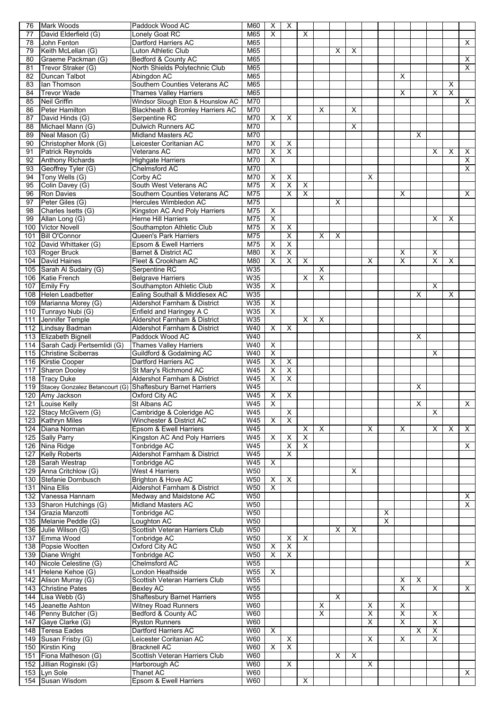| 76 | <b>Mark Woods</b>                                              | Paddock Wood AC                    | M60             | X                            | X                       |                         |   |                         |   |                         |                         |                         |                         |                         |                         |                         |
|----|----------------------------------------------------------------|------------------------------------|-----------------|------------------------------|-------------------------|-------------------------|---|-------------------------|---|-------------------------|-------------------------|-------------------------|-------------------------|-------------------------|-------------------------|-------------------------|
| 77 | David Elderfield (G)                                           | Lonely Goat RC                     | M65             | $\overline{\mathsf{x}}$      |                         | X                       |   |                         |   |                         |                         |                         |                         |                         |                         |                         |
| 78 | John Fenton                                                    | Dartford Harriers AC               | M65             |                              |                         |                         |   |                         |   |                         |                         |                         |                         |                         |                         | X                       |
| 79 | Keith McLellan (G)                                             | Luton Athletic Club                | M65             |                              |                         |                         |   | Х                       | X |                         |                         |                         |                         |                         |                         |                         |
| 80 | Graeme Packman (G)                                             | Bedford & County AC                | M65             |                              |                         |                         |   |                         |   |                         |                         |                         |                         |                         |                         | X                       |
| 81 | Trevor Straker (G)                                             | North Shields Polytechnic Club     | M65             |                              |                         |                         |   |                         |   |                         |                         |                         |                         |                         |                         | X                       |
| 82 | Duncan Talbot                                                  | Abingdon AC                        | M65             |                              |                         |                         |   |                         |   |                         |                         | х                       |                         |                         |                         |                         |
| 83 | lan Thomson                                                    | Southern Counties Veterans AC      | M65             |                              |                         |                         |   |                         |   |                         |                         |                         |                         |                         | X                       |                         |
| 84 | <b>Trevor Wade</b>                                             | <b>Thames Valley Harriers</b>      | M65             |                              |                         |                         |   |                         |   |                         |                         | X                       |                         | X                       | $\overline{\mathsf{x}}$ |                         |
| 85 | Neil Griffin                                                   | Windsor Slough Eton & Hounslow AC  | M70             |                              |                         |                         |   |                         |   |                         |                         |                         |                         |                         |                         | Χ                       |
| 86 | <b>Peter Hamilton</b>                                          | Blackheath & Bromley Harriers AC   | M70             |                              |                         |                         | X |                         | X |                         |                         |                         |                         |                         |                         |                         |
| 87 | David Hinds (G)                                                | Serpentine RC                      | M70             | X                            | X                       |                         |   |                         |   |                         |                         |                         |                         |                         |                         |                         |
| 88 | Michael Mann (G)                                               | <b>Dulwich Runners AC</b>          | M70             |                              |                         |                         |   |                         | X |                         |                         |                         |                         |                         |                         |                         |
| 89 | Neal Mason (G)                                                 | <b>Midland Masters AC</b>          | M70             |                              |                         |                         |   |                         |   |                         |                         |                         | X                       |                         |                         |                         |
| 90 | Christopher Monk (G)                                           | Leicester Coritanian AC            | M70             | X                            | Χ                       |                         |   |                         |   |                         |                         |                         |                         |                         |                         |                         |
| 91 | <b>Patrick Reynolds</b>                                        | Veterans AC                        | M70             | $\overline{\mathsf{x}}$      | X                       |                         |   |                         |   |                         |                         |                         |                         | Х                       | х                       | X                       |
| 92 | <b>Anthony Richards</b>                                        | <b>Highgate Harriers</b>           | M70             | X                            |                         |                         |   |                         |   |                         |                         |                         |                         |                         |                         | X                       |
| 93 | Geoffrey Tyler (G)                                             | Chelmsford AC                      | M70             |                              |                         |                         |   |                         |   |                         |                         |                         |                         |                         |                         | X                       |
| 94 | Tony Wells (G)                                                 |                                    | M70             |                              | $\overline{\mathsf{x}}$ |                         |   |                         |   | X                       |                         |                         |                         |                         |                         |                         |
| 95 |                                                                | Corby AC<br>South West Veterans AC | M75             | Х<br>$\overline{\mathsf{x}}$ | $\overline{\mathsf{x}}$ | X                       |   |                         |   |                         |                         |                         |                         |                         |                         |                         |
|    | Colin Davey (G)                                                |                                    |                 |                              |                         |                         |   |                         |   |                         |                         |                         |                         |                         |                         |                         |
| 96 | <b>Ron Davies</b>                                              | Southern Counties Veterans AC      | M75             |                              | X                       | X                       |   |                         |   |                         |                         | Χ                       |                         |                         |                         | Χ                       |
| 97 | Peter Giles (G)                                                | Hercules Wimbledon AC              | M75             |                              |                         |                         |   | X                       |   |                         |                         |                         |                         |                         |                         |                         |
| 98 | Charles Isetts (G)                                             | Kingston AC And Poly Harriers      | M75             | X                            |                         |                         |   |                         |   |                         |                         |                         |                         |                         |                         |                         |
| 99 | Allan Long (G)                                                 | <b>Herne Hill Harriers</b>         | M75             | $\overline{\mathsf{x}}$      |                         |                         |   |                         |   |                         |                         |                         |                         | X                       | X                       |                         |
|    | 100 Victor Novell                                              | Southampton Athletic Club          | M75             | $\overline{\mathsf{x}}$      | $\overline{\mathsf{x}}$ |                         |   |                         |   |                         |                         |                         |                         |                         |                         |                         |
|    | 101 Bill O'Connor                                              | Queen's Park Harriers              | M75             |                              | $\overline{\mathsf{x}}$ |                         | X | X                       |   |                         |                         |                         |                         |                         |                         |                         |
|    | 102 David Whittaker (G)                                        | Epsom & Ewell Harriers             | M75             | X                            | $\overline{\mathsf{x}}$ |                         |   |                         |   |                         |                         |                         |                         |                         |                         |                         |
|    | 103 Roger Bruck                                                | Barnet & District AC               | M80             | $\overline{\mathsf{x}}$      | $\overline{\mathsf{x}}$ |                         |   |                         |   |                         |                         | Х                       |                         | X                       |                         |                         |
|    | 104 David Haines                                               | Fleet & Crookham AC                | M80             | $\overline{\mathsf{x}}$      | $\overline{X}$          | $\overline{\mathsf{x}}$ |   |                         |   | X                       |                         | X                       |                         | $\overline{\mathsf{x}}$ | X                       |                         |
|    | 105 Sarah Al Sudairy (G)                                       | Serpentine RC                      | W35             |                              |                         |                         | X |                         |   |                         |                         |                         |                         |                         |                         |                         |
|    | 106 Katie French                                               | <b>Belgrave Harriers</b>           | W35             |                              |                         | X                       | X |                         |   |                         |                         |                         |                         |                         |                         |                         |
|    | 107 Emily Fry                                                  | Southampton Athletic Club          | W35             | $\overline{\mathsf{x}}$      |                         |                         |   |                         |   |                         |                         |                         |                         | X                       |                         |                         |
|    | 108 Helen Leadbetter                                           | Ealing Southall & Middlesex AC     | W35             |                              |                         |                         |   |                         |   |                         |                         |                         | X                       |                         | X                       |                         |
|    | 109 Marianna Morey (G)                                         | Aldershot Farnham & District       | W35             | X                            |                         |                         |   |                         |   |                         |                         |                         |                         |                         |                         |                         |
|    | 110 Tunrayo Nubi (G)                                           | Enfield and Haringey A C           | <b>W35</b>      | $\overline{\mathsf{x}}$      |                         |                         |   |                         |   |                         |                         |                         |                         |                         |                         |                         |
|    | 111 Jennifer Temple                                            | Aldershot Farnham & District       | W35             |                              |                         | X                       | X |                         |   |                         |                         |                         |                         |                         |                         |                         |
|    | 112 Lindsay Badman                                             | Aldershot Farnham & District       | W40             | X                            | X                       |                         |   |                         |   |                         |                         |                         |                         |                         |                         |                         |
|    | 113 Elizabeth Bignell                                          | Paddock Wood AC                    | W40             |                              |                         |                         |   |                         |   |                         |                         |                         | X                       |                         |                         |                         |
|    | 114 Sarah Cadji Pertsemlidi (G)                                | <b>Thames Valley Harriers</b>      | W40             | X                            |                         |                         |   |                         |   |                         |                         |                         |                         |                         |                         |                         |
|    | 115 Christine Sciberras                                        | Guildford & Godalming AC           | W40             | $\overline{\mathsf{x}}$      |                         |                         |   |                         |   |                         |                         |                         |                         | Х                       |                         |                         |
|    | 116 Kirstie Cooper                                             | <b>Dartford Harriers AC</b>        | W45             | $\overline{\mathsf{x}}$      | $\overline{\mathsf{x}}$ |                         |   |                         |   |                         |                         |                         |                         |                         |                         |                         |
|    | 117 Sharon Dooley                                              | St Mary's Richmond AC              | W45             | X                            | X                       |                         |   |                         |   |                         |                         |                         |                         |                         |                         |                         |
|    | 118 Tracy Duke                                                 | Aldershot Farnham & District       | W45             | $\overline{\mathsf{x}}$      | $\overline{\mathsf{x}}$ |                         |   |                         |   |                         |                         |                         |                         |                         |                         |                         |
|    | 119 Stacey Gonzalez Betancourt (G) Shaftesbury Barnet Harriers |                                    | W45             |                              |                         |                         |   |                         |   |                         |                         |                         | $\overline{\mathsf{x}}$ |                         |                         |                         |
|    |                                                                |                                    |                 |                              |                         |                         |   |                         |   |                         |                         |                         |                         |                         |                         |                         |
|    | 120 Amy Jackson                                                | Oxford City AC                     | W45             | X                            | X                       |                         |   |                         |   |                         |                         |                         |                         |                         |                         |                         |
|    | 121 Louise Kelly                                               | St Albans AC                       | W45             | $\boldsymbol{\mathsf{X}}$    |                         |                         |   |                         |   |                         |                         |                         | X                       |                         |                         | X                       |
|    | 122 Stacy McGivern (G)                                         | Cambridge & Coleridge AC           | W45             |                              | X                       |                         |   |                         |   |                         |                         |                         |                         | X                       |                         |                         |
|    | 123 Kathryn Miles                                              | Winchester & District AC           | W45             | X                            | $\overline{\mathsf{x}}$ |                         |   |                         |   |                         |                         |                         |                         |                         |                         |                         |
|    | 124 Diana Norman                                               | Epsom & Ewell Harriers             | W45             |                              |                         | X                       | X |                         |   | X                       |                         | Χ                       |                         | X                       | X                       | X                       |
|    | 125 Sally Parry                                                | Kingston AC And Poly Harriers      | W45             | X                            | $\overline{\mathsf{x}}$ | $\overline{\mathsf{x}}$ |   |                         |   |                         |                         |                         |                         |                         |                         |                         |
|    | 126 Nina Ridge                                                 | <b>Tonbridge AC</b>                | <b>W45</b>      |                              | X                       | $\overline{\mathsf{x}}$ |   |                         |   |                         |                         |                         |                         |                         |                         | X                       |
|    | 127 Kelly Roberts                                              | Aldershot Farnham & District       | W45             |                              | $\overline{\mathsf{x}}$ |                         |   |                         |   |                         |                         |                         |                         |                         |                         |                         |
|    | 128 Sarah Westrap                                              | Tonbridge AC                       | W45             | $\overline{\mathsf{x}}$      |                         |                         |   |                         |   |                         |                         |                         |                         |                         |                         |                         |
|    | 129 Anna Critchlow (G)                                         | West 4 Harriers                    | W50             |                              |                         |                         |   |                         | X |                         |                         |                         |                         |                         |                         |                         |
|    | 130 Stefanie Dornbusch                                         | Brighton & Hove AC                 | W50             | X                            | X                       |                         |   |                         |   |                         |                         |                         |                         |                         |                         |                         |
|    | 131 Nina Ellis                                                 | Aldershot Farnham & District       | W <sub>50</sub> | $\overline{\mathsf{x}}$      |                         |                         |   |                         |   |                         |                         |                         |                         |                         |                         |                         |
|    | 132 Vanessa Hannam                                             | Medway and Maidstone AC            | W50             |                              |                         |                         |   |                         |   |                         |                         |                         |                         |                         |                         | X                       |
|    | 133 Sharon Hutchings (G)                                       | Midland Masters AC                 | <b>W50</b>      |                              |                         |                         |   |                         |   |                         |                         |                         |                         |                         |                         | $\overline{X}$          |
|    | 134 Grazia Manzotti                                            | Tonbridge AC                       | W50             |                              |                         |                         |   |                         |   |                         | $\mathsf X$             |                         |                         |                         |                         |                         |
|    | 135 Melanie Peddle (G)                                         | Loughton AC                        | W50             |                              |                         |                         |   |                         |   |                         | $\overline{\mathsf{x}}$ |                         |                         |                         |                         |                         |
|    | 136 Julie Wilson (G)                                           | Scottish Veteran Harriers Club     | <b>W50</b>      |                              |                         |                         |   | X                       | X |                         |                         |                         |                         |                         |                         |                         |
|    | 137 Emma Wood                                                  | Tonbridge AC                       | <b>W50</b>      |                              | $\overline{\mathsf{x}}$ | X                       |   |                         |   |                         |                         |                         |                         |                         |                         |                         |
|    | 138 Popsie Wootten                                             | <b>Oxford City AC</b>              | <b>W50</b>      | X                            | X                       |                         |   |                         |   |                         |                         |                         |                         |                         |                         |                         |
|    | 139 Diane Wright                                               | Tonbridge AC                       | W <sub>50</sub> | $\overline{\mathsf{x}}$      | $\overline{\mathsf{x}}$ |                         |   |                         |   |                         |                         |                         |                         |                         |                         |                         |
|    | 140 Nicole Celestine (G)                                       | Chelmsford AC                      | W55             |                              |                         |                         |   |                         |   |                         |                         |                         |                         |                         |                         | X                       |
|    | 141 Helene Kehoe (G)                                           | London Heathside                   | <b>W55</b>      | X                            |                         |                         |   |                         |   |                         |                         |                         |                         |                         |                         |                         |
|    | 142 Alison Murray (G)                                          | Scottish Veteran Harriers Club     | W55             |                              |                         |                         |   |                         |   |                         |                         | X                       | $\overline{\mathsf{x}}$ |                         |                         |                         |
|    | 143 Christine Pates                                            | <b>Bexley AC</b>                   | W55             |                              |                         |                         |   |                         |   |                         |                         | $\overline{\mathsf{x}}$ |                         | X                       |                         | $\overline{\mathsf{x}}$ |
|    | 144 Lisa Webb (G)                                              | <b>Shaftesbury Barnet Harriers</b> | W55             |                              |                         |                         |   | $\overline{\mathsf{x}}$ |   |                         |                         |                         |                         |                         |                         |                         |
|    | 145 Jeanette Ashton                                            | <b>Witney Road Runners</b>         | <b>W60</b>      |                              |                         |                         | X |                         |   | X                       |                         | $\overline{\mathsf{x}}$ |                         |                         |                         |                         |
|    | 146 Penny Butcher (G)                                          | Bedford & County AC                | W60             |                              |                         |                         | X |                         |   | X                       |                         | X                       |                         | X                       |                         |                         |
|    | 147 Gaye Clarke (G)                                            | <b>Ryston Runners</b>              | <b>W60</b>      |                              |                         |                         |   |                         |   | $\overline{\mathsf{x}}$ |                         | $\overline{\mathsf{x}}$ |                         | $\overline{X}$          |                         |                         |
|    | 148 Teresa Eades                                               | Dartford Harriers AC               | W60             | $\overline{\mathsf{x}}$      |                         |                         |   |                         |   |                         |                         |                         | X                       | $\overline{X}$          |                         |                         |
|    |                                                                | Leicester Coritanian AC            | W60             |                              |                         |                         |   |                         |   | X                       |                         | X                       |                         | $\overline{\mathsf{x}}$ |                         |                         |
|    | 149 Susan Frisby (G)                                           |                                    |                 |                              | $\overline{\mathsf{x}}$ |                         |   |                         |   |                         |                         |                         |                         |                         |                         |                         |
|    | 150 Kirstin King                                               | <b>Bracknell AC</b>                | <b>W60</b>      | X                            | X                       |                         |   |                         |   |                         |                         |                         |                         |                         |                         |                         |
|    | 151 Fiona Matheson (G)                                         | Scottish Veteran Harriers Club     | <b>W60</b>      |                              |                         |                         |   | X                       | X |                         |                         |                         |                         |                         |                         |                         |
|    | 152 Jillian Roginski (G)                                       | Harborough AC                      | W60             |                              | $\overline{\mathsf{x}}$ |                         |   |                         |   | X                       |                         |                         |                         |                         |                         |                         |
|    | 153 Lyn Sole                                                   | <b>Thanet AC</b>                   | <b>W60</b>      |                              |                         | $\overline{\mathsf{x}}$ |   |                         |   |                         |                         |                         |                         |                         |                         | X                       |
|    | 154 Susan Wisdom                                               | Epsom & Ewell Harriers             | <b>W60</b>      |                              |                         |                         |   |                         |   |                         |                         |                         |                         |                         |                         |                         |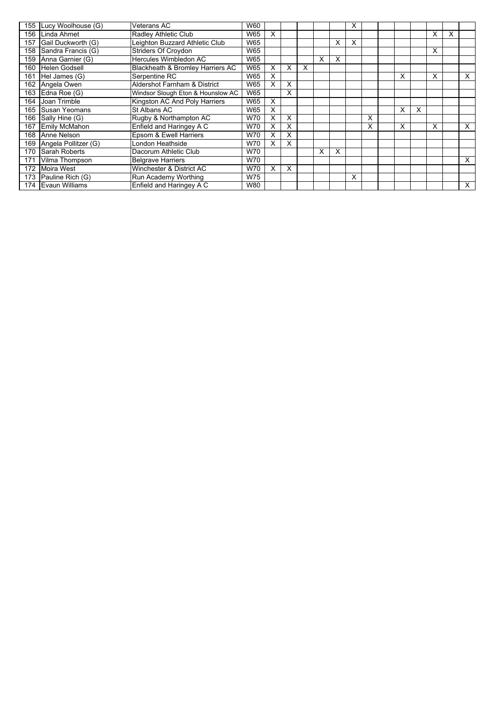|     | 155 Lucy Woolhouse (G) | Veterans AC                       | W60 |   |   |   |   |   | x |   |   |   |   |   |          |
|-----|------------------------|-----------------------------------|-----|---|---|---|---|---|---|---|---|---|---|---|----------|
| 156 | Linda Ahmet            | Radley Athletic Club              | W65 | X |   |   |   |   |   |   |   |   | X | X |          |
| 157 | Gail Duckworth (G)     | Leighton Buzzard Athletic Club    | W65 |   |   |   |   | X | X |   |   |   |   |   |          |
| 158 | Sandra Francis (G)     | Striders Of Croydon               | W65 |   |   |   |   |   |   |   |   |   | X |   |          |
| 159 | Anna Garnier (G)       | Hercules Wimbledon AC             | W65 |   |   |   | X | X |   |   |   |   |   |   |          |
| 160 | <b>Helen Godsell</b>   | Blackheath & Bromley Harriers AC  | W65 | X | X | X |   |   |   |   |   |   |   |   |          |
| 161 | Hel James (G)          | Serpentine RC                     | W65 | x |   |   |   |   |   |   | X |   | X |   | x        |
| 162 | Angela Owen            | Aldershot Farnham & District      | W65 | X | X |   |   |   |   |   |   |   |   |   |          |
| 163 | Edna Roe (G)           | Windsor Slough Eton & Hounslow AC | W65 |   | X |   |   |   |   |   |   |   |   |   |          |
|     | 164 Joan Trimble       | Kingston AC And Poly Harriers     | W65 | X |   |   |   |   |   |   |   |   |   |   |          |
|     | 165 Susan Yeomans      | St Albans AC                      | W65 | X |   |   |   |   |   |   | X | X |   |   |          |
|     | 166 Sally Hine (G)     | Rugby & Northampton AC            | W70 | Χ | X |   |   |   |   | X |   |   |   |   |          |
| 167 | <b>Emily McMahon</b>   | Enfield and Haringey A C          | W70 | Χ | X |   |   |   |   | X | X |   | X |   | X        |
| 168 | Anne Nelson            | Epsom & Ewell Harriers            | W70 | х | x |   |   |   |   |   |   |   |   |   |          |
| 169 | Angela Pollitzer (G)   | London Heathside                  | W70 | х | X |   |   |   |   |   |   |   |   |   |          |
| 170 | Sarah Roberts          | Dacorum Athletic Club             | W70 |   |   |   | X | X |   |   |   |   |   |   |          |
| 171 | Vilma Thompson         | <b>Belgrave Harriers</b>          | W70 |   |   |   |   |   |   |   |   |   |   |   | X        |
| 172 | <b>Moira West</b>      | Winchester & District AC          | W70 | X | X |   |   |   |   |   |   |   |   |   |          |
| 173 | Pauline Rich (G)       | Run Academy Worthing              | W75 |   |   |   |   |   | x |   |   |   |   |   |          |
|     | 174 Evaun Williams     | Enfield and Haringey A C          | W80 |   |   |   |   |   |   |   |   |   |   |   | $\times$ |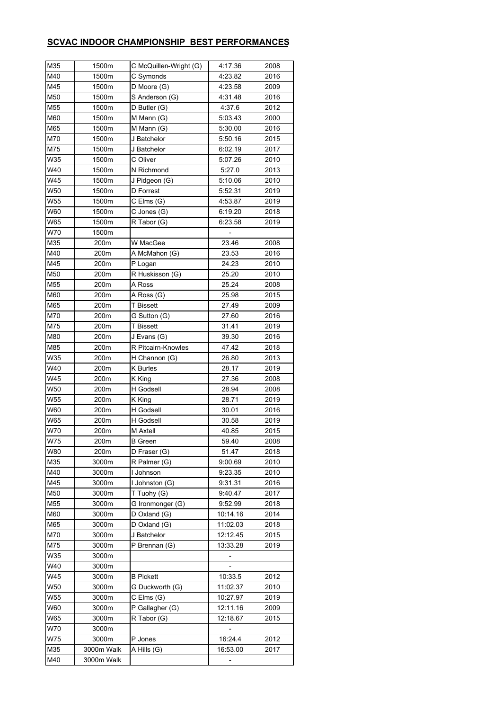### **SCVAC INDOOR CHAMPIONSHIP BEST PERFORMANCES**

| M35 | 1500m      | C McQuillen-Wright (G) | 4:17.36  | 2008 |
|-----|------------|------------------------|----------|------|
| M40 | 1500m      | C Symonds              | 4:23.82  | 2016 |
| M45 | 1500m      | D Moore (G)            | 4:23.58  | 2009 |
| M50 | 1500m      | S Anderson (G)         | 4:31.48  | 2016 |
| M55 | 1500m      | D Butler (G)           | 4:37.6   | 2012 |
| M60 | 1500m      | M Mann (G)             | 5:03.43  | 2000 |
| M65 | 1500m      | M Mann (G)             | 5:30.00  | 2016 |
| M70 | 1500m      | J Batchelor            | 5:50.16  | 2015 |
| M75 | 1500m      | J Batchelor            | 6:02.19  | 2017 |
| W35 | 1500m      | C Oliver               | 5:07.26  | 2010 |
| W40 | 1500m      | N Richmond             | 5:27.0   | 2013 |
| W45 | 1500m      | J Pidgeon (G)          | 5:10.06  | 2010 |
| W50 | 1500m      | D Forrest              | 5:52.31  | 2019 |
| W55 | 1500m      | C Elms (G)             | 4:53.87  | 2019 |
| W60 | 1500m      | C Jones (G)            | 6:19.20  | 2018 |
| W65 | 1500m      | R Tabor (G)            | 6:23.58  | 2019 |
| W70 | 1500m      |                        |          |      |
| M35 | 200m       | W MacGee               | 23.46    | 2008 |
| M40 | 200m       | A McMahon (G)          | 23.53    | 2016 |
| M45 | 200m       | P Logan                | 24.23    | 2010 |
| M50 | 200m       | R Huskisson (G)        | 25.20    | 2010 |
| M55 | 200m       | A Ross                 | 25.24    | 2008 |
| M60 | 200m       | A Ross (G)             | 25.98    | 2015 |
| M65 | 200m       | <b>T</b> Bissett       | 27.49    | 2009 |
| M70 | 200m       | G Sutton (G)           | 27.60    | 2016 |
| M75 | 200m       | <b>T</b> Bissett       | 31.41    | 2019 |
| M80 | 200m       | J Evans (G)            | 39.30    | 2016 |
| M85 | 200m       | R Pitcairn-Knowles     | 47.42    | 2018 |
| W35 | 200m       | H Channon (G)          | 26.80    | 2013 |
| W40 | 200m       | <b>K</b> Burles        | 28.17    | 2019 |
| W45 | 200m       | K King                 | 27.36    | 2008 |
| W50 | 200m       | H Godsell              | 28.94    | 2008 |
| W55 | 200m       | K King                 | 28.71    | 2019 |
| W60 | 200m       | H Godsell              | 30.01    | 2016 |
| W65 | 200m       | H Godsell              | 30.58    | 2019 |
| W70 | 200m       | M Axtell               | 40.85    | 2015 |
| W75 | 200m       | <b>B</b> Green         | 59.40    | 2008 |
| W80 | 200m       | D Fraser (G)           | 51.47    | 2018 |
| M35 | 3000m      | R Palmer (G)           | 9:00.69  | 2010 |
| M40 | 3000m      | I Johnson              | 9:23.35  | 2010 |
| M45 | 3000m      | I Johnston (G)         | 9:31.31  | 2016 |
| M50 | 3000m      | T Tuohy (G)            | 9:40.47  | 2017 |
| M55 | 3000m      | G Ironmonger (G)       | 9:52.99  | 2018 |
| M60 | 3000m      | D Oxland (G)           | 10:14.16 | 2014 |
| M65 | 3000m      | D Oxland (G)           | 11:02.03 | 2018 |
| M70 | 3000m      | J Batchelor            | 12:12.45 | 2015 |
| M75 | 3000m      | P Brennan (G)          | 13:33.28 | 2019 |
| W35 | 3000m      |                        |          |      |
| W40 | 3000m      |                        |          |      |
| W45 | 3000m      | <b>B</b> Pickett       | 10:33.5  | 2012 |
| W50 | 3000m      | G Duckworth (G)        | 11:02.37 | 2010 |
| W55 | 3000m      | C Elms (G)             | 10:27.97 | 2019 |
| W60 | 3000m      | P Gallagher (G)        | 12:11.16 | 2009 |
| W65 | 3000m      | R Tabor (G)            | 12:18.67 | 2015 |
| W70 | 3000m      |                        |          |      |
| W75 | 3000m      | P Jones                | 16:24.4  | 2012 |
| M35 | 3000m Walk | A Hills (G)            | 16:53.00 | 2017 |
| M40 | 3000m Walk |                        |          |      |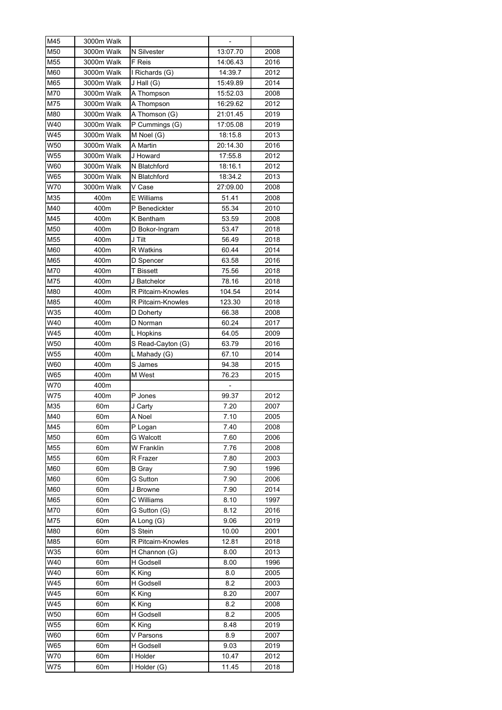| M45        | 3000m Walk      |                          |                |              |
|------------|-----------------|--------------------------|----------------|--------------|
| M50        | 3000m Walk      | N Silvester              | 13:07.70       | 2008         |
| M55        | 3000m Walk      | F Reis                   | 14:06.43       | 2016         |
| M60        | 3000m Walk      | I Richards (G)           | 14:39.7        | 2012         |
| M65        | 3000m Walk      | J Hall (G)               | 15:49.89       | 2014         |
| M70        | 3000m Walk      | A Thompson               | 15:52.03       | 2008         |
| M75        | 3000m Walk      | A Thompson               | 16:29.62       | 2012         |
| M80        | 3000m Walk      | A Thomson (G)            | 21:01.45       | 2019         |
| W40        | 3000m Walk      | P Cummings (G)           | 17:05.08       | 2019         |
| W45        | 3000m Walk      | M Noel (G)               | 18:15.8        | 2013         |
| W50        | 3000m Walk      | A Martin                 | 20:14.30       | 2016         |
| W55        | 3000m Walk      | J Howard                 | 17:55.8        | 2012         |
| W60        | 3000m Walk      | N Blatchford             | 18:16.1        | 2012         |
| W65        | 3000m Walk      | N Blatchford             | 18:34.2        | 2013         |
| W70        | 3000m Walk      | V Case                   | 27:09.00       | 2008         |
| M35        | 400m            | E Williams               | 51.41          | 2008         |
| M40        | 400m            | P Benedickter            | 55.34          | 2010         |
| M45        | 400m            | K Bentham                | 53.59          | 2008         |
| M50        | 400m            |                          | 53.47          | 2018         |
| M55        | 400m            | D Bokor-Ingram<br>J Tilt | 56.49          | 2018         |
|            |                 |                          |                |              |
| M60<br>M65 | 400m            | <b>R</b> Watkins         | 60.44<br>63.58 | 2014<br>2016 |
|            | 400m            | D Spencer                |                |              |
| M70        | 400m            | <b>T</b> Bissett         | 75.56          | 2018         |
| M75        | 400m            | J Batchelor              | 78.16          | 2018         |
| M80        | 400m            | R Pitcairn-Knowles       | 104.54         | 2014         |
| M85        | 400m            | R Pitcairn-Knowles       | 123.30         | 2018         |
| W35        | 400m            | D Doherty                | 66.38          | 2008         |
| W40        | 400m            | D Norman                 | 60.24          | 2017         |
| W45        | 400m            | L Hopkins                | 64.05          | 2009         |
| W50        | 400m            | S Read-Cayton (G)        | 63.79          | 2016         |
| W55        | 400m            | L Mahady (G)             | 67.10          | 2014         |
| W60        | 400m            | S James                  | 94.38          | 2015         |
| W65        | 400m            | M West                   | 76.23          | 2015         |
| W70        | 400m            |                          |                |              |
| W75        | 400m            | P Jones                  | 99.37          | 2012         |
| M35        | 60m             | J Carty                  | 7.20           | 2007         |
| M40        | 60 <sub>m</sub> | A Noel                   | 7.10           | 2005         |
| M45        | 60m             | P Logan                  | 7.40           | 2008         |
| M50        | 60 <sub>m</sub> | <b>G</b> Walcott         | 7.60           | 2006         |
| M55        | 60m             | W Franklin               | 7.76           | 2008         |
| M55        | 60m             | R Frazer                 | 7.80           | 2003         |
| M60        | 60m             | B Gray                   | 7.90           | 1996         |
| M60        | 60 <sub>m</sub> | <b>G</b> Sutton          | 7.90           | 2006         |
| M60        | 60 <sub>m</sub> | J Browne                 | 7.90           | 2014         |
| M65        | 60 <sub>m</sub> | C Williams               | 8.10           | 1997         |
| M70        | 60 <sub>m</sub> | G Sutton (G)             | 8.12           | 2016         |
| M75        | 60m             | A Long (G)               | 9.06           | 2019         |
| M80        | 60m             | S Stein                  | 10.00          | 2001         |
| M85        | 60 <sub>m</sub> | R Pitcairn-Knowles       | 12.81          | 2018         |
| W35        | 60 <sub>m</sub> | H Channon (G)            | 8.00           | 2013         |
| W40        | 60 <sub>m</sub> | H Godsell                | 8.00           | 1996         |
| W40        | 60 <sub>m</sub> | K King                   | 8.0            | 2005         |
| W45        | 60 <sub>m</sub> | H Godsell                | 8.2            | 2003         |
| W45        | 60 <sub>m</sub> | K King                   | 8.20           | 2007         |
| W45        | 60m             | K King                   | 8.2            | 2008         |
| W50        | 60m             | H Godsell                | 8.2            | 2005         |
| W55        | 60m             | K King                   | 8.48           | 2019         |
| W60        | 60m             | V Parsons                | 8.9            | 2007         |
| W65        | 60m             | H Godsell                | 9.03           | 2019         |
| W70        | 60 <sub>m</sub> | I Holder                 | 10.47          | 2012         |
| W75        | 60 <sub>m</sub> | I Holder (G)             | 11.45          | 2018         |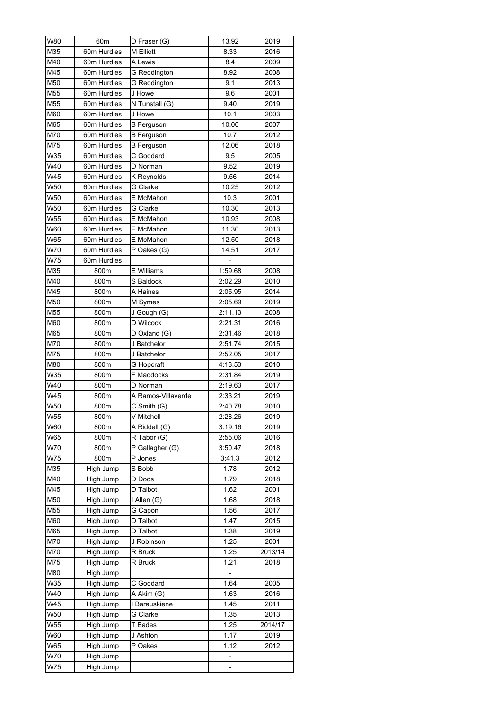| W80              | 60m         | D Fraser (G)       | 13.92   | 2019    |
|------------------|-------------|--------------------|---------|---------|
| M35              | 60m Hurdles | M Elliott          | 8.33    | 2016    |
| M40              | 60m Hurdles | A Lewis            | 8.4     | 2009    |
| M45              | 60m Hurdles | G Reddington       | 8.92    | 2008    |
| M50              | 60m Hurdles | G Reddington       | 9.1     | 2013    |
| M55              | 60m Hurdles | J Howe             | 9.6     | 2001    |
| M55              | 60m Hurdles | N Tunstall (G)     | 9.40    | 2019    |
| M60              | 60m Hurdles | J Howe             | 10.1    | 2003    |
| M65              | 60m Hurdles | <b>B</b> Ferguson  | 10.00   | 2007    |
| M70              | 60m Hurdles | <b>B</b> Ferguson  | 10.7    | 2012    |
| M75              | 60m Hurdles | <b>B</b> Ferguson  | 12.06   | 2018    |
| W35              | 60m Hurdles | C Goddard          | 9.5     | 2005    |
| W40              | 60m Hurdles | D Norman           | 9.52    | 2019    |
| W45              | 60m Hurdles | K Reynolds         | 9.56    | 2014    |
| W50              | 60m Hurdles | G Clarke           | 10.25   | 2012    |
| W50              | 60m Hurdles | E McMahon          | 10.3    | 2001    |
| W <sub>50</sub>  | 60m Hurdles | G Clarke           | 10.30   | 2013    |
| W55              | 60m Hurdles | E McMahon          | 10.93   | 2008    |
| W60              | 60m Hurdles | E McMahon          | 11.30   | 2013    |
| W65              | 60m Hurdles | E McMahon          | 12.50   | 2018    |
| W70              | 60m Hurdles | P Oakes (G)        | 14.51   | 2017    |
| <b>W75</b>       | 60m Hurdles |                    |         |         |
| $\overline{M}35$ | 800m        | E Williams         | 1:59.68 | 2008    |
| M40              |             |                    |         |         |
|                  | 800m        | S Baldock          | 2:02.29 | 2010    |
| M45              | 800m        | A Haines           | 2:05.95 | 2014    |
| M50              | 800m        | M Symes            | 2:05.69 | 2019    |
| M55              | 800m        | J Gough (G)        | 2:11.13 | 2008    |
| M60              | 800m        | D Wilcock          | 2:21.31 | 2016    |
| M65              | 800m        | D Oxland (G)       | 2:31.46 | 2018    |
| M70              | 800m        | J Batchelor        | 2:51.74 | 2015    |
| M75              | 800m        | J Batchelor        | 2:52.05 | 2017    |
| M80              | 800m        | G Hopcraft         | 4:13.53 | 2010    |
| W35              | 800m        | F Maddocks         | 2:31.84 | 2019    |
| W40              | 800m        | D Norman           | 2:19.63 | 2017    |
| W45              | 800m        | A Ramos-Villaverde | 2:33.21 | 2019    |
| W50              | 800m        | C Smith (G)        | 2:40.78 | 2010    |
| W55              | 800m        | V Mitchell         | 2:28.26 | 2019    |
| W60              | 800m        | A Riddell (G)      | 3:19.16 | 2019    |
| W65              | 800m        | R Tabor (G)        | 2:55.06 | 2016    |
| W70              | 800m        | P Gallagher (G)    | 3:50.47 | 2018    |
| W75              | 800m        | P Jones            | 3:41.3  | 2012    |
| M35              | High Jump   | S Bobb             | 1.78    | 2012    |
| M40              | High Jump   | D Dods             | 1.79    | 2018    |
| M45              | High Jump   | D Talbot           | 1.62    | 2001    |
| M50              | High Jump   | I Allen (G)        | 1.68    | 2018    |
| M55              | High Jump   | G Capon            | 1.56    | 2017    |
| M60              | High Jump   | D Talbot           | 1.47    | 2015    |
| M65              | High Jump   | D Talbot           | 1.38    | 2019    |
| M70              | High Jump   | J Robinson         | 1.25    | 2001    |
| M70              | High Jump   | R Bruck            | 1.25    | 2013/14 |
| M75              | High Jump   | R Bruck            | 1.21    | 2018    |
| M80              | High Jump   |                    | -       |         |
| W35              | High Jump   | C Goddard          | 1.64    | 2005    |
| W40              | High Jump   | A Akim (G)         | 1.63    | 2016    |
| W45              | High Jump   | I Barauskiene      | 1.45    | 2011    |
| W50              | High Jump   | G Clarke           | 1.35    | 2013    |
| W55              | High Jump   | T Eades            | 1.25    | 2014/17 |
| W60              | High Jump   | J Ashton           | 1.17    | 2019    |
| W65              | High Jump   | P Oakes            | 1.12    | 2012    |
| W70              | High Jump   |                    |         |         |
| W75              | High Jump   |                    |         |         |
|                  |             |                    |         |         |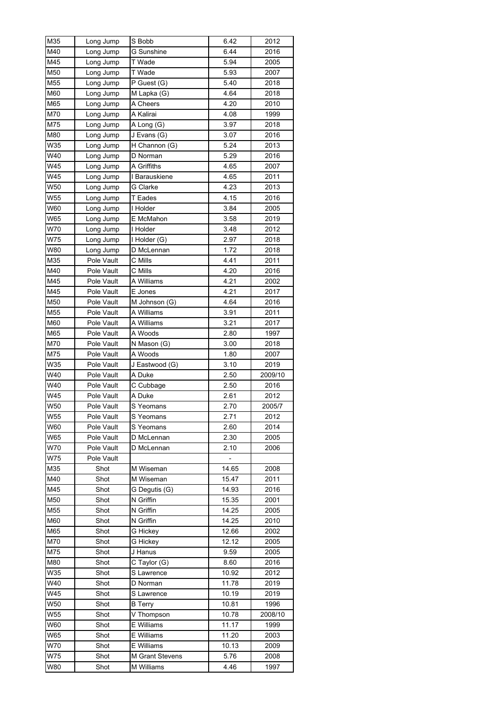| M35 | Long Jump  | S Bobb            | 6.42           | 2012    |
|-----|------------|-------------------|----------------|---------|
| M40 | Long Jump  | <b>G</b> Sunshine | 6.44           | 2016    |
| M45 | Long Jump  | T Wade            | 5.94           | 2005    |
| M50 | Long Jump  | T Wade            | 5.93           | 2007    |
| M55 | Long Jump  | P Guest (G)       | 5.40           | 2018    |
| M60 | Long Jump  | M Lapka (G)       | 4.64           | 2018    |
| M65 | Long Jump  | A Cheers          | 4.20           | 2010    |
| M70 | Long Jump  | A Kalirai         | 4.08           | 1999    |
| M75 | Long Jump  | A Long (G)        | 3.97           | 2018    |
| M80 | Long Jump  | J Evans (G)       | 3.07           | 2016    |
| W35 | Long Jump  | H Channon (G)     | 5.24           | 2013    |
| W40 | Long Jump  | D Norman          | 5.29           | 2016    |
| W45 | Long Jump  | A Griffiths       | 4.65           | 2007    |
| W45 | Long Jump  | I Barauskiene     | 4.65           | 2011    |
| W50 | Long Jump  | G Clarke          | 4.23           | 2013    |
| W55 | Long Jump  | T Eades           | 4.15           | 2016    |
| W60 | Long Jump  | I Holder          | 3.84           | 2005    |
| W65 |            | E McMahon         | 3.58           | 2019    |
|     | Long Jump  |                   |                |         |
| W70 | Long Jump  | I Holder          | 3.48           | 2012    |
| W75 | Long Jump  | I Holder (G)      | 2.97           | 2018    |
| W80 | Long Jump  | D McLennan        | 1.72           | 2018    |
| M35 | Pole Vault | C Mills           | 4.41           | 2011    |
| M40 | Pole Vault | C Mills           | 4.20           | 2016    |
| M45 | Pole Vault | A Williams        | 4.21           | 2002    |
| M45 | Pole Vault | E Jones           | 4.21           | 2017    |
| M50 | Pole Vault | M Johnson (G)     | 4.64           | 2016    |
| M55 | Pole Vault | A Williams        | 3.91           | 2011    |
| M60 | Pole Vault | A Williams        | 3.21           | 2017    |
| M65 | Pole Vault | A Woods           | 2.80           | 1997    |
| M70 | Pole Vault | N Mason (G)       | 3.00           | 2018    |
| M75 | Pole Vault | A Woods           | 1.80           | 2007    |
| W35 | Pole Vault | J Eastwood (G)    | 3.10           | 2019    |
| W40 | Pole Vault | A Duke            | 2.50           | 2009/10 |
| W40 | Pole Vault | C Cubbage         | 2.50           | 2016    |
| W45 | Pole Vault | A Duke            | 2.61           | 2012    |
| W50 | Pole Vault | S Yeomans         | 2.70           | 2005/7  |
| W55 | Pole Vault | S Yeomans         | 2.71           | 2012    |
| W60 | Pole Vault | S Yeomans         | 2.60           | 2014    |
| W65 | Pole Vault | D McLennan        | 2.30           | 2005    |
| W70 | Pole Vault | D McLennan        | 2.10           | 2006    |
| W75 | Pole Vault |                   | $\overline{a}$ |         |
| M35 | Shot       | M Wiseman         | 14.65          | 2008    |
| M40 | Shot       | M Wiseman         | 15.47          | 2011    |
| M45 | Shot       | G Dequtis (G)     | 14.93          | 2016    |
| M50 | Shot       | N Griffin         | 15.35          | 2001    |
| M55 | Shot       | N Griffin         | 14.25          | 2005    |
| M60 | Shot       | N Griffin         | 14.25          | 2010    |
| M65 | Shot       | G Hickey          | 12.66          | 2002    |
| M70 | Shot       | G Hickey          | 12.12          | 2005    |
| M75 | Shot       | J Hanus           | 9.59           | 2005    |
| M80 | Shot       | C Taylor (G)      | 8.60           | 2016    |
| W35 | Shot       | S Lawrence        | 10.92          | 2012    |
| W40 | Shot       | D Norman          | 11.78          | 2019    |
| W45 | Shot       | S Lawrence        | 10.19          | 2019    |
| W50 | Shot       | <b>B</b> Terry    | 10.81          | 1996    |
| W55 | Shot       | V Thompson        | 10.78          | 2008/10 |
| W60 | Shot       | E Williams        | 11.17          | 1999    |
| W65 | Shot       | E Williams        | 11.20          | 2003    |
| W70 | Shot       | E Williams        | 10.13          | 2009    |
| W75 | Shot       | M Grant Stevens   | 5.76           | 2008    |
| W80 | Shot       | M Williams        | 4.46           | 1997    |
|     |            |                   |                |         |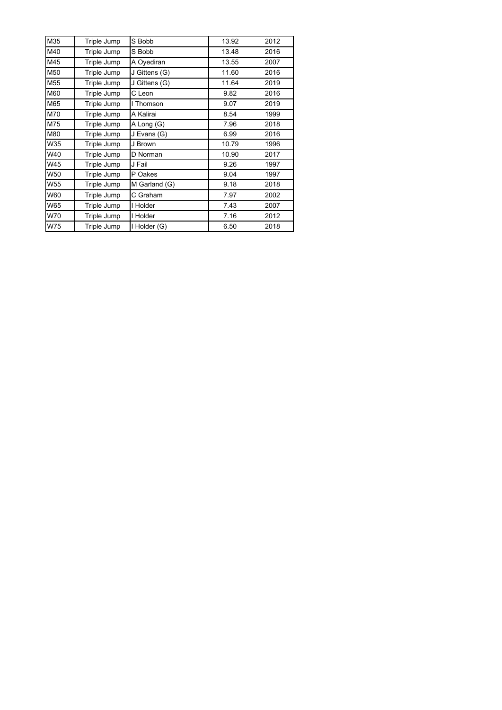| M35 | Triple Jump | S Bobb        | 13.92 | 2012 |
|-----|-------------|---------------|-------|------|
| M40 | Triple Jump | S Bobb        | 13.48 | 2016 |
| M45 | Triple Jump | A Oyediran    | 13.55 | 2007 |
| M50 | Triple Jump | J Gittens (G) | 11.60 | 2016 |
| M55 | Triple Jump | J Gittens (G) | 11.64 | 2019 |
| M60 | Triple Jump | C Leon        | 9.82  | 2016 |
| M65 | Triple Jump | I Thomson     | 9.07  | 2019 |
| M70 | Triple Jump | A Kalirai     | 8.54  | 1999 |
| M75 | Triple Jump | A Long (G)    | 7.96  | 2018 |
| M80 | Triple Jump | J Evans (G)   | 6.99  | 2016 |
| W35 | Triple Jump | J Brown       | 10.79 | 1996 |
| W40 | Triple Jump | D Norman      | 10.90 | 2017 |
| W45 | Triple Jump | J Fail        | 9.26  | 1997 |
| W50 | Triple Jump | P Oakes       | 9.04  | 1997 |
| W55 | Triple Jump | M Garland (G) | 9.18  | 2018 |
| W60 | Triple Jump | C Graham      | 7.97  | 2002 |
| W65 | Triple Jump | I Holder      | 7.43  | 2007 |
| W70 | Triple Jump | I Holder      | 7.16  | 2012 |
| W75 | Triple Jump | I Holder (G)  | 6.50  | 2018 |